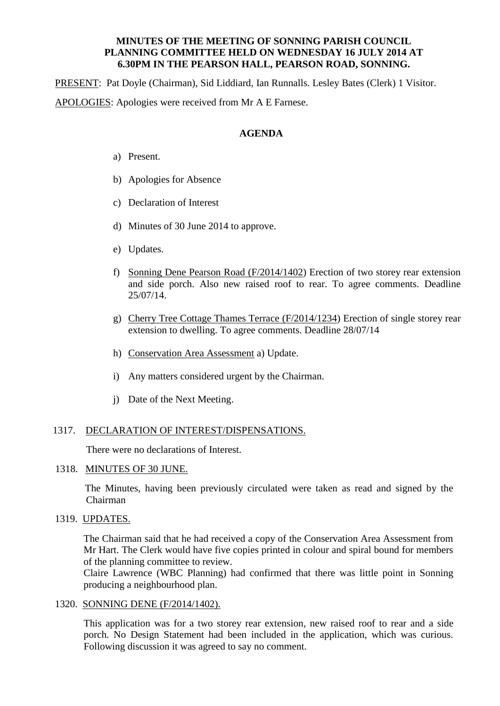## **MINUTES OF THE MEETING OF SONNING PARISH COUNCIL PLANNING COMMITTEE HELD ON WEDNESDAY 16 JULY 2014 AT 6.30PM IN THE PEARSON HALL, PEARSON ROAD, SONNING.**

PRESENT: Pat Doyle (Chairman), Sid Liddiard, Ian Runnalls. Lesley Bates (Clerk) 1 Visitor. APOLOGIES: Apologies were received from Mr A E Farnese.

### **AGENDA**

- a) Present.
- b) Apologies for Absence
- c) Declaration of Interest
- d) Minutes of 30 June 2014 to approve.
- e) Updates.
- f) Sonning Dene Pearson Road (F/2014/1402) Erection of two storey rear extension and side porch. Also new raised roof to rear. To agree comments. Deadline 25/07/14.
- g) Cherry Tree Cottage Thames Terrace (F/2014/1234) Erection of single storey rear extension to dwelling. To agree comments. Deadline 28/07/14
- h) Conservation Area Assessment a) Update.
- i) Any matters considered urgent by the Chairman.
- j) Date of the Next Meeting.

## 1317. DECLARATION OF INTEREST/DISPENSATIONS.

There were no declarations of Interest.

# 1318. MINUTES OF 30 JUNE.

 The Minutes, having been previously circulated were taken as read and signed by the Chairman

## 1319. UPDATES.

The Chairman said that he had received a copy of the Conservation Area Assessment from Mr Hart. The Clerk would have five copies printed in colour and spiral bound for members of the planning committee to review.

Claire Lawrence (WBC Planning) had confirmed that there was little point in Sonning producing a neighbourhood plan.

#### 1320. SONNING DENE (F/2014/1402).

This application was for a two storey rear extension, new raised roof to rear and a side porch. No Design Statement had been included in the application, which was curious. Following discussion it was agreed to say no comment.